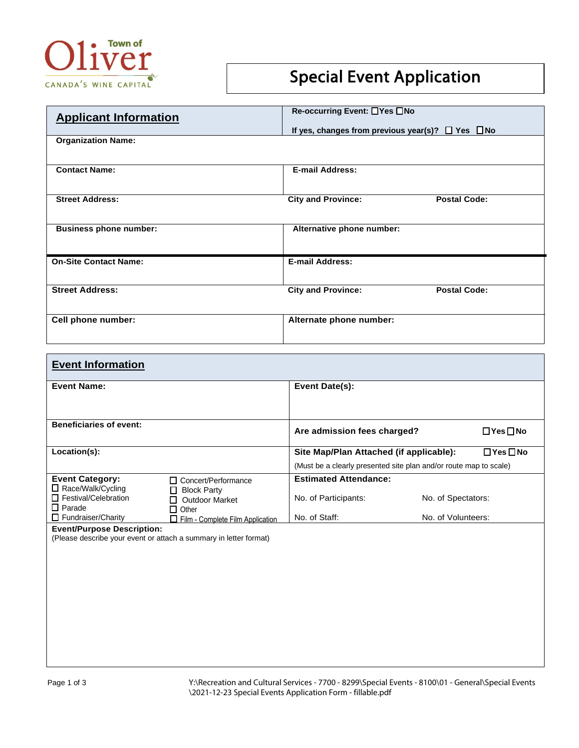

## Special Event Application

| <b>Applicant Information</b><br><b>Organization Name:</b> | Re-occurring Event: □Yes □No<br>If yes, changes from previous year(s)? $\Box$ Yes $\Box$ No |  |  |
|-----------------------------------------------------------|---------------------------------------------------------------------------------------------|--|--|
| <b>Contact Name:</b>                                      | <b>E-mail Address:</b>                                                                      |  |  |
| <b>Street Address:</b>                                    | <b>City and Province:</b><br><b>Postal Code:</b>                                            |  |  |
| <b>Business phone number:</b>                             | Alternative phone number:                                                                   |  |  |
| <b>On-Site Contact Name:</b>                              | <b>E-mail Address:</b>                                                                      |  |  |
| <b>Street Address:</b>                                    | <b>City and Province:</b><br><b>Postal Code:</b>                                            |  |  |
| Cell phone number:                                        | Alternate phone number:                                                                     |  |  |

| <b>Event Information</b>                           |                                                                   |                                                                   |                    |                      |
|----------------------------------------------------|-------------------------------------------------------------------|-------------------------------------------------------------------|--------------------|----------------------|
| <b>Event Name:</b>                                 |                                                                   | Event Date(s):                                                    |                    |                      |
|                                                    |                                                                   |                                                                   |                    |                      |
| <b>Beneficiaries of event:</b>                     |                                                                   | Are admission fees charged?                                       |                    | $\Box$ Yes $\Box$ No |
| Location(s):                                       |                                                                   | $\Box$ Yes $\Box$ No<br>Site Map/Plan Attached (if applicable):   |                    |                      |
|                                                    |                                                                   | (Must be a clearly presented site plan and/or route map to scale) |                    |                      |
| <b>Event Category:</b><br>$\Box$ Race/Walk/Cycling | □ Concert/Performance                                             | <b>Estimated Attendance:</b>                                      |                    |                      |
| $\Box$ Festival/Celebration<br>$\Box$ Parade       | <b>Block Party</b><br>H<br><b>Outdoor Market</b><br>$\Box$ Other  | No. of Participants:                                              | No. of Spectators: |                      |
| $\Box$ Fundraiser/Charity                          | $\Box$ Film - Complete Film Application                           | No. of Staff:                                                     | No. of Volunteers: |                      |
| <b>Event/Purpose Description:</b>                  | (Please describe your event or attach a summary in letter format) |                                                                   |                    |                      |

Г

Page 1 of 3 Y:\Recreation and Cultural Services - 7700 - 8299\Special Events - 8100\01 - General\Special Events \2021-12-23 Special Events Application Form - fillable.pdf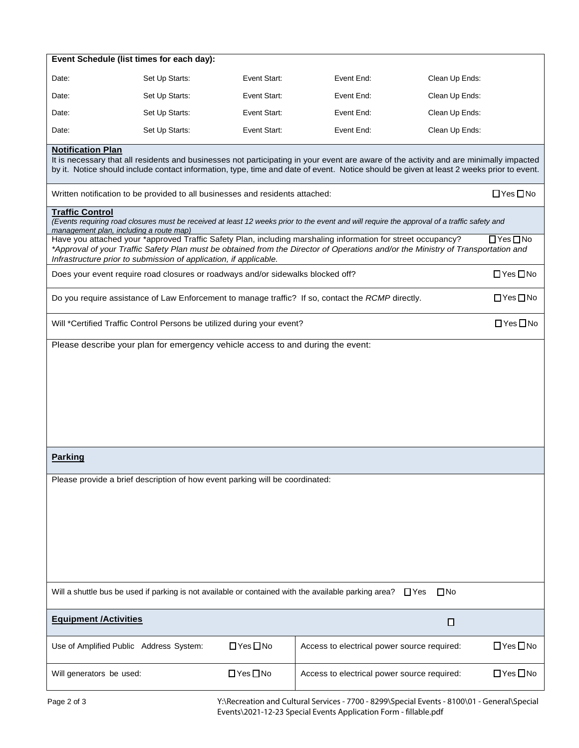|                                                                              | Event Schedule (list times for each day):                                                                                                                                                                                                                                                                     |              |            |                                                                                                                                                          |  |
|------------------------------------------------------------------------------|---------------------------------------------------------------------------------------------------------------------------------------------------------------------------------------------------------------------------------------------------------------------------------------------------------------|--------------|------------|----------------------------------------------------------------------------------------------------------------------------------------------------------|--|
| Date:                                                                        | Set Up Starts:                                                                                                                                                                                                                                                                                                | Event Start: | Event End: | Clean Up Ends:                                                                                                                                           |  |
| Date:                                                                        | Set Up Starts:                                                                                                                                                                                                                                                                                                | Event Start: | Event End: | Clean Up Ends:                                                                                                                                           |  |
| Date:                                                                        | Set Up Starts:                                                                                                                                                                                                                                                                                                | Event Start: | Event End: | Clean Up Ends:                                                                                                                                           |  |
| Date:                                                                        | Set Up Starts:                                                                                                                                                                                                                                                                                                | Event Start: | Event End: | Clean Up Ends:                                                                                                                                           |  |
|                                                                              | <b>Notification Plan</b><br>It is necessary that all residents and businesses not participating in your event are aware of the activity and are minimally impacted<br>by it. Notice should include contact information, type, time and date of event. Notice should be given at least 2 weeks prior to event. |              |            |                                                                                                                                                          |  |
|                                                                              | Written notification to be provided to all businesses and residents attached:                                                                                                                                                                                                                                 |              |            | $\Box$ Yes $\Box$ No                                                                                                                                     |  |
| <b>Traffic Control</b>                                                       | management plan, including a route map)                                                                                                                                                                                                                                                                       |              |            | (Events requiring road closures must be received at least 12 weeks prior to the event and will require the approval of a traffic safety and              |  |
|                                                                              | Have you attached your *approved Traffic Safety Plan, including marshaling information for street occupancy?<br>Infrastructure prior to submission of application, if applicable.                                                                                                                             |              |            | $\Box$ Yes $\Box$ No<br>*Approval of your Traffic Safety Plan must be obtained from the Director of Operations and/or the Ministry of Transportation and |  |
|                                                                              | $\Box$ Yes $\Box$ No<br>Does your event require road closures or roadways and/or sidewalks blocked off?                                                                                                                                                                                                       |              |            |                                                                                                                                                          |  |
|                                                                              | Do you require assistance of Law Enforcement to manage traffic? If so, contact the RCMP directly.<br>$\Box$ Yes $\Box$ No                                                                                                                                                                                     |              |            |                                                                                                                                                          |  |
|                                                                              | $\Box$ Yes $\Box$ No<br>Will *Certified Traffic Control Persons be utilized during your event?                                                                                                                                                                                                                |              |            |                                                                                                                                                          |  |
|                                                                              | Please describe your plan for emergency vehicle access to and during the event:                                                                                                                                                                                                                               |              |            |                                                                                                                                                          |  |
|                                                                              |                                                                                                                                                                                                                                                                                                               |              |            |                                                                                                                                                          |  |
|                                                                              |                                                                                                                                                                                                                                                                                                               |              |            |                                                                                                                                                          |  |
|                                                                              |                                                                                                                                                                                                                                                                                                               |              |            |                                                                                                                                                          |  |
|                                                                              |                                                                                                                                                                                                                                                                                                               |              |            |                                                                                                                                                          |  |
|                                                                              |                                                                                                                                                                                                                                                                                                               |              |            |                                                                                                                                                          |  |
| <b>Parking</b>                                                               |                                                                                                                                                                                                                                                                                                               |              |            |                                                                                                                                                          |  |
| Please provide a brief description of how event parking will be coordinated: |                                                                                                                                                                                                                                                                                                               |              |            |                                                                                                                                                          |  |
|                                                                              |                                                                                                                                                                                                                                                                                                               |              |            |                                                                                                                                                          |  |
|                                                                              |                                                                                                                                                                                                                                                                                                               |              |            |                                                                                                                                                          |  |

| Will a shuttle bus be used if parking is not available or contained with the available parking area?<br>$\Box$ Yes<br>$\Box$ No |                      |                                             |                      |
|---------------------------------------------------------------------------------------------------------------------------------|----------------------|---------------------------------------------|----------------------|
| <b>Equipment /Activities</b>                                                                                                    |                      |                                             |                      |
| Use of Amplified Public Address System:                                                                                         | $\Box$ Yes $\Box$ No | Access to electrical power source required: | $\Box$ Yes $\Box$ No |
| Will generators be used:                                                                                                        | $\Box$ Yes $\Box$ No | Access to electrical power source required: | $\Box$ Yes $\Box$ No |

Page 2 of 3 Y:\Recreation and Cultural Services - 7700 - 8299\Special Events - 8100\01 - General\Special Events\2021-12-23 Special Events Application Form - fillable.pdf